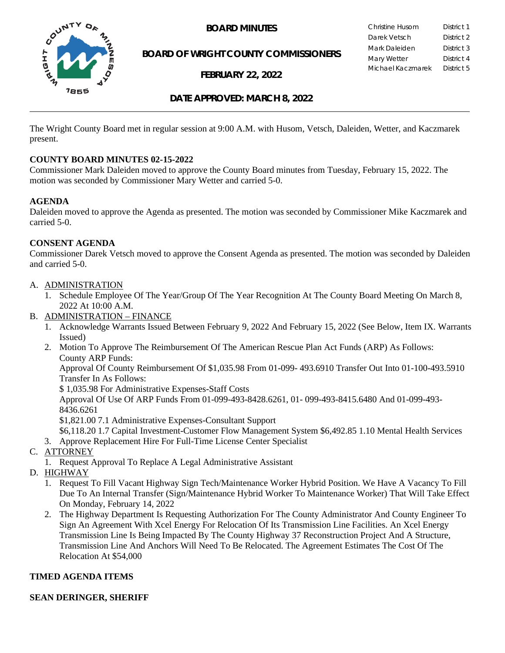

**BOARD OF WRIGHT COUNTY COMMISSIONERS**

**FEBRUARY 22, 2022**

**BOARD MINUTES** Christine Husom District 1<br>Darek Vetsch District 2 Darek Vetsch Mark Daleiden **District 3** Mary Wetter District 4 Michael Kaczmarek District 5

## **DATE APPROVED: MARCH 8, 2022**

The Wright County Board met in regular session at 9:00 A.M. with Husom, Vetsch, Daleiden, Wetter, and Kaczmarek present.

#### **COUNTY BOARD MINUTES 02-15-2022**

Commissioner Mark Daleiden moved to approve the County Board minutes from Tuesday, February 15, 2022. The motion was seconded by Commissioner Mary Wetter and carried 5-0.

#### **AGENDA**

Daleiden moved to approve the Agenda as presented. The motion was seconded by Commissioner Mike Kaczmarek and carried 5-0.

#### **CONSENT AGENDA**

Commissioner Darek Vetsch moved to approve the Consent Agenda as presented. The motion was seconded by Daleiden and carried 5-0.

- A. ADMINISTRATION
	- 1. Schedule Employee Of The Year/Group Of The Year Recognition At The County Board Meeting On March 8, 2022 At 10:00 A.M.
- B. ADMINISTRATION FINANCE
	- 1. Acknowledge Warrants Issued Between February 9, 2022 And February 15, 2022 (See Below, Item IX. Warrants Issued)
	- 2. Motion To Approve The Reimbursement Of The American Rescue Plan Act Funds (ARP) As Follows: County ARP Funds:

Approval Of County Reimbursement Of \$1,035.98 From 01-099- 493.6910 Transfer Out Into 01-100-493.5910 Transfer In As Follows:

\$ 1,035.98 For Administrative Expenses-Staff Costs

Approval Of Use Of ARP Funds From 01-099-493-8428.6261, 01- 099-493-8415.6480 And 01-099-493- 8436.6261

\$1,821.00 7.1 Administrative Expenses-Consultant Support

\$6,118.20 1.7 Capital Investment-Customer Flow Management System \$6,492.85 1.10 Mental Health Services

- 3. Approve Replacement Hire For Full-Time License Center Specialist
- C. ATTORNEY
	- 1. Request Approval To Replace A Legal Administrative Assistant
- D. HIGHWAY
	- 1. Request To Fill Vacant Highway Sign Tech/Maintenance Worker Hybrid Position. We Have A Vacancy To Fill Due To An Internal Transfer (Sign/Maintenance Hybrid Worker To Maintenance Worker) That Will Take Effect On Monday, February 14, 2022
	- 2. The Highway Department Is Requesting Authorization For The County Administrator And County Engineer To Sign An Agreement With Xcel Energy For Relocation Of Its Transmission Line Facilities. An Xcel Energy Transmission Line Is Being Impacted By The County Highway 37 Reconstruction Project And A Structure, Transmission Line And Anchors Will Need To Be Relocated. The Agreement Estimates The Cost Of The Relocation At \$54,000

## **TIMED AGENDA ITEMS**

#### **SEAN DERINGER, SHERIFF**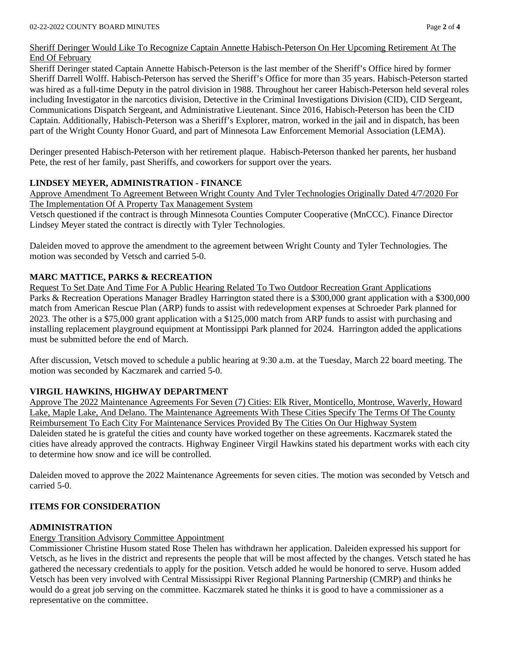## Sheriff Deringer Would Like To Recognize Captain Annette Habisch-Peterson On Her Upcoming Retirement At The End Of February

Sheriff Deringer stated Captain Annette Habisch-Peterson is the last member of the Sheriff's Office hired by former Sheriff Darrell Wolff. Habisch-Peterson has served the Sheriff's Office for more than 35 years. Habisch-Peterson started was hired as a full-time Deputy in the patrol division in 1988. Throughout her career Habisch-Peterson held several roles including Investigator in the narcotics division, Detective in the Criminal Investigations Division (CID), CID Sergeant, Communications Dispatch Sergeant, and Administrative Lieutenant. Since 2016, Habisch-Peterson has been the CID Captain. Additionally, Habisch-Peterson was a Sheriff's Explorer, matron, worked in the jail and in dispatch, has been part of the Wright County Honor Guard, and part of Minnesota Law Enforcement Memorial Association (LEMA).

Deringer presented Habisch-Peterson with her retirement plaque. Habisch-Peterson thanked her parents, her husband Pete, the rest of her family, past Sheriffs, and coworkers for support over the years.

## **LINDSEY MEYER, ADMINISTRATION - FINANCE**

Approve Amendment To Agreement Between Wright County And Tyler Technologies Originally Dated 4/7/2020 For The Implementation Of A Property Tax Management System

Vetsch questioned if the contract is through Minnesota Counties Computer Cooperative (MnCCC). Finance Director Lindsey Meyer stated the contract is directly with Tyler Technologies.

Daleiden moved to approve the amendment to the agreement between Wright County and Tyler Technologies. The motion was seconded by Vetsch and carried 5-0.

# **MARC MATTICE, PARKS & RECREATION**

Request To Set Date And Time For A Public Hearing Related To Two Outdoor Recreation Grant Applications Parks & Recreation Operations Manager Bradley Harrington stated there is a \$300,000 grant application with a \$300,000 match from American Rescue Plan (ARP) funds to assist with redevelopment expenses at Schroeder Park planned for 2023. The other is a \$75,000 grant application with a \$125,000 match from ARP funds to assist with purchasing and installing replacement playground equipment at Montissippi Park planned for 2024. Harrington added the applications must be submitted before the end of March.

After discussion, Vetsch moved to schedule a public hearing at 9:30 a.m. at the Tuesday, March 22 board meeting. The motion was seconded by Kaczmarek and carried 5-0.

## **VIRGIL HAWKINS, HIGHWAY DEPARTMENT**

Approve The 2022 Maintenance Agreements For Seven (7) Cities: Elk River, Monticello, Montrose, Waverly, Howard Lake, Maple Lake, And Delano. The Maintenance Agreements With These Cities Specify The Terms Of The County Reimbursement To Each City For Maintenance Services Provided By The Cities On Our Highway System Daleiden stated he is grateful the cities and county have worked together on these agreements. Kaczmarek stated the cities have already approved the contracts. Highway Engineer Virgil Hawkins stated his department works with each city to determine how snow and ice will be controlled.

Daleiden moved to approve the 2022 Maintenance Agreements for seven cities. The motion was seconded by Vetsch and carried 5-0.

## **ITEMS FOR CONSIDERATION**

## **ADMINISTRATION**

## Energy Transition Advisory Committee Appointment

Commissioner Christine Husom stated Rose Thelen has withdrawn her application. Daleiden expressed his support for Vetsch, as he lives in the district and represents the people that will be most affected by the changes. Vetsch stated he has gathered the necessary credentials to apply for the position. Vetsch added he would be honored to serve. Husom added Vetsch has been very involved with Central Mississippi River Regional Planning Partnership (CMRP) and thinks he would do a great job serving on the committee. Kaczmarek stated he thinks it is good to have a commissioner as a representative on the committee.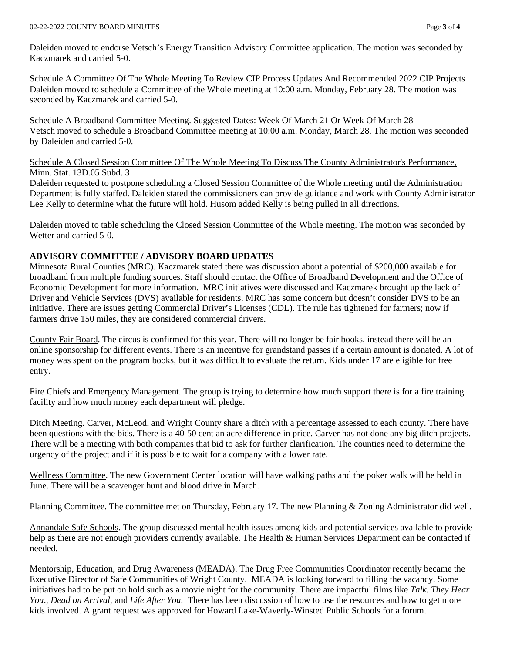Daleiden moved to endorse Vetsch's Energy Transition Advisory Committee application. The motion was seconded by Kaczmarek and carried 5-0.

Schedule A Committee Of The Whole Meeting To Review CIP Process Updates And Recommended 2022 CIP Projects Daleiden moved to schedule a Committee of the Whole meeting at 10:00 a.m. Monday, February 28. The motion was seconded by Kaczmarek and carried 5-0.

Schedule A Broadband Committee Meeting. Suggested Dates: Week Of March 21 Or Week Of March 28 Vetsch moved to schedule a Broadband Committee meeting at 10:00 a.m. Monday, March 28. The motion was seconded by Daleiden and carried 5-0.

Schedule A Closed Session Committee Of The Whole Meeting To Discuss The County Administrator's Performance, Minn. Stat. 13D.05 Subd. 3

Daleiden requested to postpone scheduling a Closed Session Committee of the Whole meeting until the Administration Department is fully staffed. Daleiden stated the commissioners can provide guidance and work with County Administrator Lee Kelly to determine what the future will hold. Husom added Kelly is being pulled in all directions.

Daleiden moved to table scheduling the Closed Session Committee of the Whole meeting. The motion was seconded by Wetter and carried 5-0.

## **ADVISORY COMMITTEE / ADVISORY BOARD UPDATES**

Minnesota Rural Counties (MRC). Kaczmarek stated there was discussion about a potential of \$200,000 available for broadband from multiple funding sources. Staff should contact the Office of Broadband Development and the Office of Economic Development for more information. MRC initiatives were discussed and Kaczmarek brought up the lack of Driver and Vehicle Services (DVS) available for residents. MRC has some concern but doesn't consider DVS to be an initiative. There are issues getting Commercial Driver's Licenses (CDL). The rule has tightened for farmers; now if farmers drive 150 miles, they are considered commercial drivers.

County Fair Board. The circus is confirmed for this year. There will no longer be fair books, instead there will be an online sponsorship for different events. There is an incentive for grandstand passes if a certain amount is donated. A lot of money was spent on the program books, but it was difficult to evaluate the return. Kids under 17 are eligible for free entry.

Fire Chiefs and Emergency Management. The group is trying to determine how much support there is for a fire training facility and how much money each department will pledge.

Ditch Meeting. Carver, McLeod, and Wright County share a ditch with a percentage assessed to each county. There have been questions with the bids. There is a 40-50 cent an acre difference in price. Carver has not done any big ditch projects. There will be a meeting with both companies that bid to ask for further clarification. The counties need to determine the urgency of the project and if it is possible to wait for a company with a lower rate.

Wellness Committee. The new Government Center location will have walking paths and the poker walk will be held in June. There will be a scavenger hunt and blood drive in March.

Planning Committee. The committee met on Thursday, February 17. The new Planning & Zoning Administrator did well.

Annandale Safe Schools. The group discussed mental health issues among kids and potential services available to provide help as there are not enough providers currently available. The Health & Human Services Department can be contacted if needed.

Mentorship, Education, and Drug Awareness (MEADA). The Drug Free Communities Coordinator recently became the Executive Director of Safe Communities of Wright County. MEADA is looking forward to filling the vacancy. Some initiatives had to be put on hold such as a movie night for the community. There are impactful films like *Talk. They Hear You*., *Dead on Arrival*, and *Life After You*. There has been discussion of how to use the resources and how to get more kids involved. A grant request was approved for Howard Lake-Waverly-Winsted Public Schools for a forum.